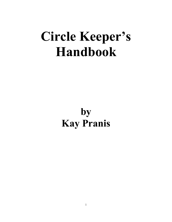# **Circle Keeper's Handbook**

## **by Kay Pranis**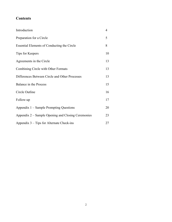## **Contents**

| Introduction                                       | 4  |
|----------------------------------------------------|----|
| Preparation for a Circle                           | 5  |
| Essential Elements of Conducting the Circle        | 8  |
| Tips for Keepers                                   | 10 |
| Agreements in the Circle                           | 13 |
| Combining Circle with Other Formats                | 13 |
| Differences Between Circle and Other Processes     | 13 |
| Balance in the Process                             | 15 |
| Circle Outline                                     | 16 |
| Follow-up                                          | 17 |
| Appendix 1 – Sample Prompting Questions            | 20 |
| Appendix 2 – Sample Opening and Closing Ceremonies | 23 |
| Appendix 3 – Tips for Alternate Check-ins          | 27 |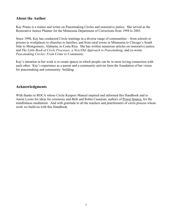## **About the Author**

Kay Pranis is a trainer and writer on Peacemaking Circles and restorative justice. She served as the Restorative Justice Planner for the Minnesota Department of Corrections from 1994 to 2003.

Since 1998, Kay has conducted Circle trainings in a diverse range of communities – from schools to prisons to workplaces to churches to families, and from rural towns in Minnesota to Chicago's South Side to Montgomery, Alabama, to Costa Rica. She has written numerous articles on restorative justice and *The Little Book of Circle Processes: a New/Old Approach to Peacemaking*, and co-wrote *Peacemaking Circles: From Crime to Community*.

Kay's intention in her work is to create spaces in which people can be in more loving connection with each other. Kay's experience as a parent and a community activist form the foundation of her vision for peacemaking and community- building.

### **Acknowledgments**

With thanks to ROCA whose Circle Keepers Manual inspired and informed this Handbook and to Aaron Lyons for ideas for ceremony and Beth and Robin Casarjian, authors of Power Source, for the mindfulness meditation. And with gratitude to all the teachers and practitioners of circle process whose work we build on with this Handbook.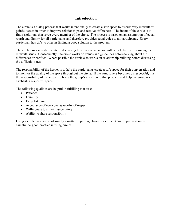## **Introduction**

The circle is a dialog process that works intentionally to create a safe space to discuss very difficult or painful issues in order to improve relationships and resolve differences. The intent of the circle is to find resolutions that serve every member of the circle. The process is based on an assumption of equal worth and dignity for all participants and therefore provides equal voice to all participants. Every participant has gifts to offer in finding a good solution to the problem.

The circle process is deliberate in discussing how the conversation will be held before discussing the difficult issues. Consequently, the circle works on values and guidelines before talking about the differences or conflict. Where possible the circle also works on relationship building before discussing the difficult issues.

The responsibility of the keeper is to help the participants create a safe space for their conversation and to monitor the quality of the space throughout the circle. If the atmosphere becomes disrespectful, it is the responsibility of the keeper to bring the group's attention to that problem and help the group reestablish a respectful space.

The following qualities are helpful in fulfilling that task:

- Patience
- Humility
- Deep listening
- Acceptance of everyone as worthy of respect
- Willingness to sit with uncertainty
- Ability to share responsibility

Using a circle process is not simply a matter of putting chairs in a circle. Careful preparation is essential to good practice in using circles.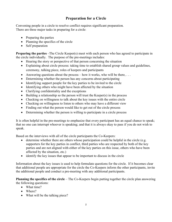## **Preparation for a Circle**

Convening people in a circle to resolve conflict requires significant preparation. There are three major tasks in preparing for a circle:

- Preparing the parties
- Planning the specifics of the circle
- Self preparation

**Preparing the parties** –The Circle Keeper(s) meet with each person who has agreed to participate in the circle individually. The purpose of the pre-meetings includes:

- Hearing the story or perspective of that person concerning the situation
- Explaining about circle process: taking time to establish shared group values and guidelines, ceremony, talking piece, roles of keepers and participants
- Answering questions about the process how it works, who will be there,  $\dots$
- Determining whether the person has any concerns about participating
- Identifying support people for the key parties to be invited to the circle
- Identifying others who might have been affected by the situation
- Clarifying confidentiality and the exceptions
- Building a relationship so the person will trust the Keeper(s) in the process
- Checking on willingness to talk about the key issues with the entire circle
- Checking on willingness to listen to others who may have a different view
- Finding out what the person would like to get out of the circle process
- Determining whether the person is willing to participate in a circle process

It is often helpful in the pre-meetings to emphasize that every participant has an equal chance to speak; that no one can interrupt whoever is speaking; and that it is always okay to pass if you do not wish to speak.

Based on the interviews with all of the circle participants the Co-Keepers:

- determine whether there are others whose participation could be helpful in the circle (e.g. supporters for the key parties in conflict, third parties who are respected by both of the key parties and are not aligned with either of the key parties on this issue, others who have been affected by the situation, etc.)
- identify the key issues that appear to be important to discuss in the circle

Information about the key issues is used to help formulate questions for the circle. If it becomes clear that additional people are appropriate for the circle the Co-Keepers inform the other participants, invite the additional people and conduct a pre-meeting with any additional participants.

**Planning the specifics of the circle** – The Co-Keepers begin putting together the circle plan answering the following questions:

- What time?
- Where?
- What will be the talking piece?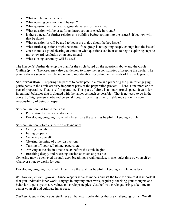- What will be in the center?
- What opening ceremony will be used?
- What question will be used to generate values for the circle?
- What question will be used for an introduction or check-in round?
- Is there a need for further relationship building before getting into the issues? If so, how will that be done?
- What question(s) will be used to begin the dialog about the key issues?
- What further questions might be useful if the group is not getting deeply enough into the issues?
- Once there is a good clearing of emotion what questions can be used to begin exploring steps to move toward resolution or an agreement?
- What closing ceremony will be used?

The Keeper(s) further develop the plan for the circle based on the questions above and the Circle Outline (p. --). The Keeper(s) also decide how to share the responsibilities of keeping the circle. The plan is always seen as flexible and open to modification according to the needs of the circle group.

**Self-preparation** - Preparing the parties to participate in circle and preparing the plan for engaging participants in the circle are very important parts of the preparation process. There is one more critical part of preparation. That is self-preparation. The space of circle is not our normal space. It calls for intentional behavior that is aligned with the values as much as possible. That is not easy to do in the context of high pressure jobs and personal lives.Prioritizing time for self-preparation is a core responsibility of being a keeper.

Self-preparation has two dimensions:

- Preparation before a specific circle.
- Developing on-going habits which cultivate the qualities helpful in keeping a circle.

Self-preparation before a specific circle includes –

- Getting enough rest
- Eating properly
- Centering yourself
- Clearing the mind of other distractions
- Turning off your cell phone, pagers, etc.
- Arriving at the site in time to relax before the circle begins
- Breathing deeply and releasing tension as much as possible

Centering may be achieved through deep breathing, a walk outside, music, quiet time by yourself or whatever strategy works for you.

Developing on-going habits which cultivate the qualities helpful in keeping a circle includes -

*Working on personal growth* – Since keepers serve as models and set the tone for circles it is important that you undertake inner work. Engage in ongoing inner work, regularly checking your thoughts and behaviors against your core values and circle principles. Just before a circle gathering, take time to center yourself and cultivate inner peace.

*Self knowledge* – Know your stuff. We all have particular things that are challenging for us. We all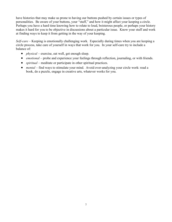have histories that may make us prone to having our buttons pushed by certain issues or types of personalities. Be aware of your buttons, your "stuff," and how it might affect your keeping a circle. Perhaps you have a hard time knowing how to relate to loud, boisterous people, or perhaps your history makes it hard for you to be objective in discussions about a particular issue. Know your stuff and work at finding ways to keep it from getting in the way of your keeping.

*Self-care* – Keeping is emotionally challenging work. Especially during times when you are keeping a circle process, take care of yourself in ways that work for you. In your self-care try to include a balance of:

- *physical* exercise, eat well, get enough sleep.
- *emotional* probe and experience your feelings through reflection, journaling, or with friends.
- *spiritual* meditate or participate in other spiritual practices.
- *mental* find ways to stimulate your mind. Avoid over-analyzing your circle work: read a book, do a puzzle, engage in creative arts, whatever works for you.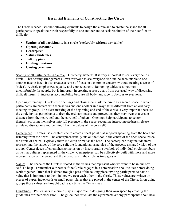## **Essential Elements of Constructing the Circle**

The Circle Keeper uses the following elements to design the circle and to create the space for all participants to speak their truth respectfully to one another and to seek resolution of their conflict or difficulty.

- **Seating of all participants in a circle (preferably without any tables)**
- **Opening ceremony**
- **Centerpiece**
- **Values/guidelines**
- **Talking piece**
- **Guiding questions**
- **Closing ceremony**

Seating of all participants in a circle – Geometry matters! It is very important to seat everyone in a circle. That seating arrangement allows everyone to see everyone else and be accountable to one another face to face. It also creates a sense of focus on a common concern without creating a sense of 'sides'. A circle emphasizes equality and connectedness. Removing tables is sometimes uncomfortable for people, but is important in creating a space apart from our usual way of discussing difficult issues. It increases accountability because all body language is obvious to everyone.

Opening ceremony – Circles use openings and closings to mark the circle as a sacred space in which participants are present with themselves and one another in a way that is different from an ordinary meeting or group. The clear marking of the beginning and end of the circle is very important because the circle invites participants to drop the ordinary masks and protections they may wear that create distance from their core self and the core self of others. Openings help participants to center themselves, bring themselves into full presence in the space, recognize interconnectedness, release unrelated distractions and be mindful of the values of the core self.

Centerpiece – Circles use a centerpiece to create a focal point that supports speaking from the heart and listening from the heart. The centerpiece usually sits on the floor in the center of the open space inside the circle of chairs. Typically there is a cloth or mat as the base. The centerpiece may include items representing the values of the core self, the foundational principles of the process, a shared vision of the group. Centerpieces often emphasize inclusion by incorporating symbols of individual circle members as well as cultures represented in the circle. Centerpieces can be collectively built with more and more representation of the group and the individuals in the circle as time goes on.

Values - The space of the Circle is rooted in the values that represent who we want to be in our best self. To help us remember our best self the Circle engages in a conversation about values before doing work together. Often that is done through a pass of the talking piece inviting participants to name a value that is important to them in how we treat each other in the Circle. Those values are written on pieces of paper, index cards or small paper plates that are placed in the center of the Circle. In on-going groups those values are brought back each time the Circle meets

Guidelines – Participants in a circle play a major role in designing their own space by creating the guidelines for their discussion. The guidelines articulate the agreements among participants about how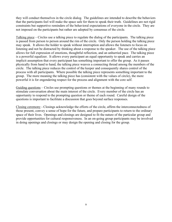they will conduct themselves in the circle dialog. The guidelines are intended to describe the behaviors that the participants feel will make the space safe for them to speak their truth. Guidelines are not rigid constraints but supportive reminders of the behavioral expectations of everyone in the circle. They are not imposed on the participants but rather are adopted by consensus of the circle.

Talking piece – Circles use a talking piece to regulate the dialog of the participants. The talking piece is passed from person to person around the rim of the circle. Only the person holding the talking piece may speak. It allows the holder to speak without interruption and allows the listeners to focus on listening and not be distracted by thinking about a response to the speaker. The use of the talking piece allows for full expression of emotions, thoughtful reflection, and an unhurried pace. The talking piece is a powerful equalizer. It allows every participant an equal opportunity to speak and carries an implicit assumption that every participant has something important to offer the group. As it passes physically from hand to hand, the talking piece weaves a connecting thread among the members of the circle. The talking piece reduces the control of the keeper and consequently shares control of the process with all participants. Where possible the talking piece represents something important to the group. The more meaning the talking piece has (consistent with the values of circle), the more powerful it is for engendering respect for the process and alignment with the core self.

Guiding questions – Circles use prompting questions or themes at the beginning of many rounds to stimulate conversation about the main interest of the circle. Every member of the circle has an opportunity to respond to the prompting question or theme of each round. Careful design of the questions is important to facilitate a discussion that goes beyond surface responses.

Closing ceremony - Closings acknowledge the efforts of the circle, affirm the interconnectedness of those present, convey a sense of hope for the future, and prepare participants to return to the ordinary space of their lives. Openings and closings are designed to fit the nature of the particular group and provide opportunities for cultural responsiveness. In an on-going group participants may be involved in doing openings and closings or may design the opening and closing for the group.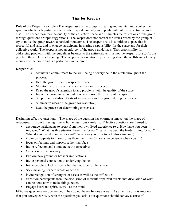## **Tips for Keepers**

Role of the Keeper in a circle - The keeper assists the group in creating and maintaining a collective space in which each participant feels safe to speak honestly and openly without disrespecting anyone else. The keeper monitors the quality of the collective space and stimulates the reflections of the group through questions or topic suggestions. The keeper does not control the issues raised by the group or try to move the group toward a particular outcome. The keeper's role is to initiate a space that is respectful and safe, and to engage participants in sharing responsibility for the space and for their collective work. The keeper is not an enforcer of the group guidelines. The responsibility for addressing problems with the guidelines belongs to the entire circle. It is not the keeper's role to fix the problem the circle is addressing. The keeper is in a relationship of caring about the well-being of every member of the circle and is a participant in the circle.

-------------------------------------- Keeper role:

- Maintain a commitment to the well-being of everyone in the circle throughout the process,
- Help the group create a respectful space
- Monitor the quality of the space as the circle proceeds
- Draw the group's attention to any problems with the quality of the space
- Invite the group to figure out how to improve the quality of the space
- Support and validate efforts of individuals and the group during the process,
- Summarize ideas of the group for resolution,
- Lead the process of determining consensus.

-------------------------------------------------------------------------------

Designing effective questions – The shape of the question has enormous impact on the shape of responses. It is worth taking time to frame questions carefully. Effective questions are framed to:

- encourage participants to speak from their own lived experience (e.g. How have you been impacted? What has this situation been like for you? What has been the hardest thing for you? What do you need to move forward? What can you offer to help this situation?)
- invite participants to share stories from their lives (Share an experience when you . . .)
- focus on feelings and impacts rather than facts
- Invite reflection and stimulate new perspectives
- Carry a sense of curiosity
- Explore new ground or broader implications
- Invite personal connection to underlying themes
- Invite people to look inside rather than outside for the answer
- Seek meaning beneath words or actions
- invite recognition of strengths or assets as well as the difficulties
- transition participants from the discussion of difficult or painful events into discussion of what can be done now to make things better.
- Engage heart and spirit, as well as the mind.

Effective questions are open-ended. They do not have obvious answers. As a facilitator it is important that you convey curiosity with the questions you ask. Your questions should convey a sense of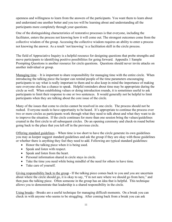openness and willingness to learn from the answers of the participants. You want them to learn about and understand one another better and you too will be learning about and understanding all the participants more completely through your questions.

One of the distinguishing characteristics of restorative processes is that everyone, including the facilitator, enters the process not knowing how it will come out. The strongest outcomes come from the collective wisdom of the group. Accessing the collective wisdom requires an ability to enter a process not knowing the answer. As a result 'not knowing' is a facilitation skill in the circle process.

The field of Appreciative Inquiry is a helpful resource for designing questions that probe strengths and move participants to identifying positive possibilities for going forward. Appendix 1 Sample Prompting Questions is another resource for circle questions. Questions should never invite attacks on another individual or group.

Managing time – It is important to share responsibility for managing time with the entire circle. When introducing the talking piece the keeper can remind people of the time parameters encouraging participants to say what is really important to them and to also keep in mind the importance of making sure everyone else has a chance to speak. Helpful reminders about time may be appropriate during the circle as well. When establishing values or doing introduction rounds, it is sometimes useful to ask participants to limit their response to one or two sentences. It would generally not be helpful to limit participants when they are talking about the core issue of the circle.

Many of the issues that come to circles cannot be resolved in one circle. The process should not be rushed. Everyone needs to have opportunity to be heard. It's appropriate to continue the process over two or more circles as participants work through what they need to talk about and what they want to do to improve the situation. If the circle continues for more than one session bring the values/guidelines created in the first circle to all subsequent circles. Do an opening ceremony and check-in round before going back to the place that you left off in the previous circle.

Offering standard guidelines – When time is too short to have the circle generate its own guidelines you may as keeper suggest standard guidelines and ask the group if they are okay with those guidelines or whether there is anything they feel they need to add. Following are typical standard guidelines:

- Honor the talking piece when it is being used.
- Speak and listen with respect.
- Speak and listen from the heart.
- Personal information shared in circle stays in circle.
- Take the time you need while being mindful of the need for others to have time.
- Take care of yourself.

Giving responsibility back to the group - If the talking piece comes back to you and you are uncertain about where the circle should go, it is okay to say, "I'm not sure where we should go from here," and then pass the talking piece. Often someone in the group has an idea that is helpful. This technique allows you to demonstrate that leadership is a shared responsibility in the circle.

Using breaks - Breaks are a useful technique for managing difficult moments. On a break you can check in with anyone who seems to be struggling. After coming back from a break you can ask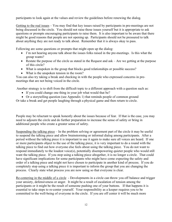participants to look again at the values and review the guidelines before renewing the dialog.

Getting to the real issues – You may find that key issues raised by participants in pre-meetings are not being discussed in the circle. You should not raise those issues yourself but it is appropriate to ask questions or prompts encouraging participants to raise them. It is also important to be aware that there might be good reasons that people are not opening up. Participants should not be pressured to talk about anything they are not ready to talk about. Remember that it is always okay to pass.

Following are some questions or prompts that might open up the dialog:

- I'm not hearing anyone talk about the issues folks raised in the pre-meetings. Is this what the group wants?
- Restate the purpose of the circle as stated in the Request and ask Are we getting at the purpose of this circle?
- What is unspoken in the group that blocks good relationships or possible success?
- What is the unspoken tension in the room?

You can also try taking a break and checking in with the people who expressed concerns in premeetings that are not being voiced in the circle.

Another strategy is to shift from the difficult topic to a different approach with a question such as:

- If you could change one thing in your job what would that be?
- Or a storytelling question (see Appendix 1) that reminds people of common ground

Or take a break and get people laughing through a physical game and then return to circle.

People may be reluctant to speak honestly about the issues because of fear. If that is the case, you may need to adjourn the circle and do further preparation to increase the sense of safety or bring in additional people who create a greater sense of safety.

Suspending the talking piece – In the problem solving or agreement part of the circle it may be useful to suspend the talking piece and allow brainstorming or informal dialog among participants. After a period without the talking piece it is important to use it again to make sure all voices are heard. If one or more participants object to the use of the talking piece, it is very important to do a round with the talking piece to find out how everyone else feels about using the talking piece. You do not want to respond immediately to the loudest voice(s), potentially disempowering quieter people who would still want the talking piece. If you stop using a talking piece altogether, it is no longer a circle. That could have significant implications for some participants who might have come expecting the safety and order of a talking piece and might not have chosen to participate in another kind of process. If you do completely stop using a talking piece it is important to inform the group that you are changing the process. Clearly state what process you are now using so that everyone is clear.

Re-centering in the middle of a circle - Developments in a circle can throw you off balance and trigger your anxiety, defensiveness or anger. It might be a result of escalation of tension among the participants or it might be the result of someone pushing one of your buttons. If that happens it is essential to take steps to re-center yourself. Your responsibility as a keeper requires you to be committed to the well-being of everyone in the circle. If you are off center it will be much more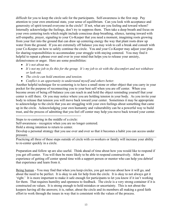difficult for you to keep the circle safe for the participants. Self-awareness is the first step. Pay attention to your own emotional state, your sense of equilibrium. Can you look with acceptance and generosity of spirit toward everyone in the circle? If not, what are you feeling and toward whom? Internally acknowledge the feelings, don't try to suppress them. Then take a deep breath and focus on your own centering tools which might include conscious deep breathing, silence, turning inward with self-empathy, prayer, signaling to your Co-Keeper that you need a moment, imagining roots growing from your feet into the ground that can draw up centering energy the way that plant roots draw up water from the ground. If you are extremely off balance you may wish to call a break and consult with your Co-Keeper on how to safely continue the circle. You and your Co-Keeper may adjust your plan for sharing responsibilities to accommodate your struggle with staying centered. You may find it helpful to repeat a phrase over and over in your mind that helps you to release your anxiety, defensiveness or anger. Here are some possibilities:

- *It's not about me.*
- *It's not my job to fix this for the group. It's my job to sit with the discomfort and not withdraw or lash out.*
- *The circle can hold emotions and tension.*
- *Conflict is an opportunity to understand myself and others better.*

Another helpful technique for re-centering is to have a small stone or other object that you carry in your pocket for the purpose of reconnecting you to your best self when you are off center. When you become aware of being off-balance you can reach in and hold the object reminding yourself that your center is still there. Or you may notice where you are holding tension in your body. As you invite your body to release that tension you will move back toward your center. Sometimes it may be appropriate to acknowledge to the circle that you are struggling with your own feelings about something that came up in the circle. Acknowledging your own humanity and vulnerability can be a powerful way to build trust, and the process of admitting that you feel off center may help you move back toward your center.

---------------------------------------------------------- Steps to re-centering in the middle of a circle:

Self-awareness - recognize when you are no longer centered.

Hold a strong intention to return to center.

Develop a personal strategy that you use over and over so that it becomes a habit you can access under pressure.

Practicing all three of these steps outside of circle with co-workers or family will increase your ability to re-center quickly in a circle.

Preparation and follow up are also useful. Think ahead of time about how you would like to respond if you get off-center. You will then be more likely to be able to respond constructively. After an experience of getting off center spend time with a support person or mentor who can help you debrief that experience and learn from it.

Being human - You may find that when you keep circles, you get nervous about how it will go, and about the need to be perfect. It is okay to ask for help from the circle. It is okay to not always get it 'right.' It is more important to make it safe enough for participants to let you know if it isn't working for them. That requires humility and openness to feedback. The circle is a very strong container if it is constructed on values. It is strong enough to hold mistakes or uncertainty. This is not about the keepers having all the answers; it is, rather, about the circle and its members all making a good faith effort to work through the issues in way that is consistent with the values of the process.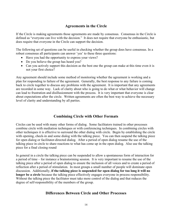## **Agreements in the Circle**

If the Circle is making agreements those agreements are made by consensus. Consensus in the Circle is defined as "everyone can live with the decision." It does not require that everyone be enthusiastic, but does require that everyone in the Circle can support the decision.

The following set of questions can be useful in checking whether the group does have consensus. In a robust consensus all participants can answer 'yes' to these three questions:

- Have you had the opportunity to express your views?
- Do you believe the group has heard you?
- Can you actively support this decision as the best one the group can make at this time even it is not your first choice?

Any agreement should include some method of monitoring whether the agreement is working and a plan for responding to failure of the agreement. Generally, the best response to any failure is coming back to circle together to discuss any problems with the agreement. It is important that any agreements are recorded in some way. Lack of clarity about who is going to do what or what behavior will change can lead to frustration and disillusionment with the process. It is very important that everyone is clear about expectations after the circle. Written agreements are often the best way to achieve the necessary level of clarity and understanding by all parties.

## **Combining Circle with Other Formats**

Circles can be used with many other forms of dialog. Some facilitators trained in other processes combine circle with mediation techniques or with conferencing techniques. In combining circles with other techniques it is effective to surround the other dialog with circle. Begin by establishing the circle with opening, check-in and some dialog with the talking piece. You can then suspend the talking piece for open dialog or facilitator-directed dialog. After a period of open dialog resume the use of the talking piece in circle to share reactions to what has come up in the open dialog. Also use the talking piece for a final closing round

In general in a circle the talking piece can be suspended to allow a spontaneous form of interaction for a period of time – for instance a brainstorming session. It is very important to resume the use of the talking piece after a period of open dialog to ensure the inclusion of all voices and to create a period of reflection after a period of stimulation. In most groups a small number of people will dominate open discussion. Additionally, **if the talking piece is suspended for open dialog for too long it will no longer be a circle** because the talking piece effectively engages everyone in process responsibility. Without the talking piece the facilitator must take more control of the dialog and that reduces the degree of self-responsibility of the members of the group.

## **Differences Between Circle and Other Processes**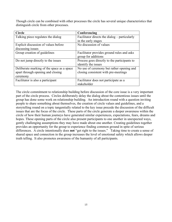Though circle can be combined with other processes the circle has several unique characteristics that distinguish circle from other processes.

| <b>Circle</b>                              | Conferencing                                  |
|--------------------------------------------|-----------------------------------------------|
| Talking piece regulates the dialog         | Facilitator directs the dialog – particularly |
|                                            | in the early stages                           |
| Explicit discussion of values before       | No discussion of values                       |
| discussing issues                          |                                               |
| Group creation of guidelines               | Facilitator provides ground rules and asks    |
|                                            | group for additions                           |
| Do not jump directly to the issues         | Process goes directly to the participants to  |
|                                            | identify the issues                           |
| Deliberate marking of the space as a space | No use of ceremony but rather opening and     |
| apart through opening and closing          | closing consistent with pre-meetings          |
| ceremony                                   |                                               |
| Facilitator is also a participant          | Facilitator does not participate as a         |
|                                            | stakeholder                                   |

The circle commitment to relationship building before discussion of the core issue is a very important part of the circle process. Circles deliberately delay the dialog about the contentious issues until the group has done some work on relationship building. An introduction round with a question inviting people to share something about themselves, the creation of circle values and guidelines, and a storytelling round on a topic tangentially related to the key issue precede the discussion of the difficult issues that are the focus of the circle. These parts of the circle generate a deeper awareness within the circle of how their human journeys have generated similar experiences, expectations, fears, dreams and hopes. These opening parts of the circle also present participants to one another in unexpected ways, gently challenging assumptions they may have made about one another. Creating guidelines together provides an opportunity for the group to experience finding common ground in spite of serious differences. A circle intentionally does **not** "get right to the issues." Taking time to create a sense of shared space and connection in the group increases the level of emotional safety which allows deeper truth telling. It also promotes awareness of the humanity of all participants.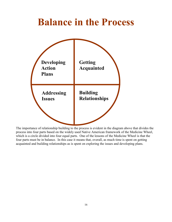## **Balance in the Process**



The importance of relationship building to the process is evident in the diagram above that divides the process into four parts based on the widely used Native American framework of the Medicine Wheel, which is a circle divided into four equal parts. One of the lessons of the Medicine Wheel is that the four parts must be in balance. In this case it means that, overall, as much time is spent on getting acquainted and building relationships as is spent on exploring the issues and developing plans.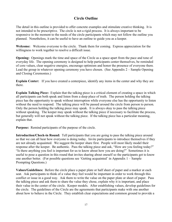## **Circle Outline**

The detail in this outline is provided to offer concrete examples and stimulate creative thinking. It is not intended to be prescriptive. The circle is not a rigid process. It is always important to be responsive in the moment to the needs of the circle participants which may not follow the outline you planned. Nonetheless, it can be useful to have an outline to guide you as a keeper.

**Welcome:** Welcome everyone to the circle. Thank them for coming. Express appreciation for the willingness to work together to resolve a difficult issue.

**Opening:** Openings mark the time and space of the Circle as a space apart from the pace and tone of everyday life. The opening ceremony is designed to help participants center themselves, be reminded of core values, clear negative energies, encourage optimism and honor the presence of everyone there*.*  Lead the group in whatever opening ceremony you have chosen. (See Appendix 2 – Sample Opening and Closing Ceremonies.)

**Explain Center:** If you have created a centerpiece, identify any items in the center and why they are there.

**Explain Talking Piece:** Explain that the talking piece is a critical element of creating a space in which all participants can both speak and listen from a deep place of truth. The person holding the talking piece has the opportunity to speak without interruption while everyone else has the opportunity to listen without the need to respond. The talking piece will be passed around the circle from person to person. Only the person holding the talking piece may speak. It is always okay to pass the talking piece without speaking. The keeper may speak without the talking piece if necessary to facilitate the process, but generally will not speak without the talking piece. If the talking piece has a particular meaning, explain that.

**Purpose:** Remind participants of the purpose of the circle.

**Introduction/Check-in Round:** Tell participants that you are going to pass the talking piece around so that we can all hear how everyone is doing today. Invite participants to introduce themselves if they are not already acquainted. We suggest the keeper share first. People will most likely model their response after the keeper. Be authentic. Pass the talking piece and ask, "How are you feeling today?" "Is there anything you feel is important for us to know about how you are doing?" Sometimes it is useful to pose a question in this round that invites sharing about oneself so the participants get to know one another better. (For possible questions see 'Getting acquainted' in Appendix 1 – Sample Prompting Questions.)

**Values/Guidelines:** Before the circle place a paper plate or half sheet of paper and a marker at each seat. Ask participants to think of a value they feel would be important in order to work through this conflict or issue in a good way. Ask them to write the value on the paper plate or sheet of paper. Pass the talking piece and ask them to share the value they chose, explain why it is important, and place their value in the center of the circle. Keeper models. After establishing values, develop guidelines for the circle. The guidelines of the Circle are the agreements that participants make with one another about how to behave in the Circle. They establish clear expectations and common ground to provide a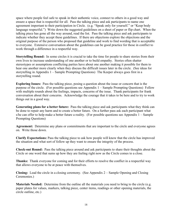space where people feel safe to speak in their authentic voice, connect to others in a good way and ensure a space that is respectful for all. Pass the talking piece and ask participants to name one agreement important to their participation in Circle. (e.g. "Speak only for yourself." or "Keep body language respectful.") Write down the suggested guidelines on a sheet of paper or flip chart. When the talking piece has gone all the way around, read the list. Pass the talking piece and ask participants to indicate whether they accept these guidelines. If there are objections explore the objections and the original purpose of the person who proposed that guideline and work to find wording that is acceptable to everyone. Extensive conversation about the guidelines can be good practice for those in conflict to work through a difference in a respectful way.

**Storytelling Round:** In some circles it is crucial to take the time for people to share stories from their own lives to increase understanding of one another or to build empathy. Stories often shatter stereotypes or assumptions conflicting parties have about one another making it possible for them to hear one another more clearly when they discuss the difficult issues later in the circle. (See ideas for storytelling in Appendix 1 – Sample Prompting Questions) The Keeper always goes first in a storytelling round.

**Exploring Issues:** Pass the talking piece, posing a question about the issue or concern that is the purpose of the circle. (For possible questions see Appendix 1 – Sample Prompting Questions) Follow with multiple rounds about the feelings, impacts, concerns of the issue. Thank participants for frank conversation about their concerns. Acknowledge the courage that it takes to be here and to try to work things out in a good way.

**Generating plans for a better future:** Pass the talking piece and ask participants what they think can be done to repair any harm and to create a better future. On a further pass ask each participant what s/he can offer to help make a better future a reality. (For possible questions see Appendix  $1 -$ Sample Prompting Questions)

**Agreement:** Determine any plans or commitments that are important to the circle and everyone agrees on. Write those down.

**Clarify Expectations:** Pass the talking piece to ask how people will know that the circle has improved the situation and what sort of follow up they want to ensure the integrity of the process.

**Check-out Round:** Pass the talking piece around and ask participants to share their thoughts about the Circle or one word that sums up how they are feeling right now as the Circle comes to a close.

**Thanks:** Thank everyone for coming and for their efforts to resolve the conflict in a respectful way that allows everyone to be at peace with themselves.

**Closing:** Lead the circle in a closing ceremony. (See Appendix 2 – Sample Opening and Closing Ceremonies.)

**Materials Needed:** Determine from the outline all the materials you need to bring to the circle (e.g. paper plates for values, markers, talking piece, center items, readings or other opening materials, the circle outline, etc.)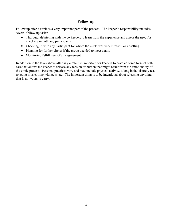### **Follow-up**

Follow up after a circle is a very important part of the process. The keeper's responsibility includes several follow-up tasks:

- Thorough debriefing with the co-keeper, to learn from the experience and assess the need for checking in with any participants.
- Checking in with any participant for whom the circle was very stressful or upsetting.
- Planning for further circles if the group decided to meet again.
- Monitoring fulfillment of any agreement.

In addition to the tasks above after any circle it is important for keepers to practice some form of selfcare that allows the keeper to release any tension or burden that might result from the emotionality of the circle process. Personal practices vary and may include physical activity, a long bath, leisurely tea, relaxing music, time with pets, etc. The important thing is to be intentional about releasing anything that is not yours to carry.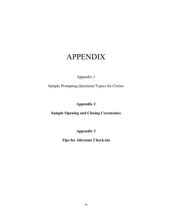## APPENDIX

## Appendix 1

Sample Prompting Questions/Topics for Circles

## **Appendix 2**

**Sample Opening and Closing Ceremonies**

**Appendix 3**

**Tips for Alternate Check-ins**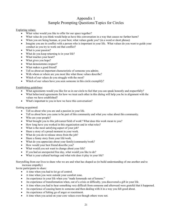## Appendix 1 Sample Prompting Questions/Topics for Circles

#### Exploring values:

- What value would you like to offer for our space together?
- What value do you think would help us have this conversation in a way that causes no further harm?
- When you are being human, at your best, what values guide you? (in a word or short phrase)
- Imagine you are in conflict with a person who is important in your life. What values do you want to guide your conduct as you try to work out that conflict?
- What is your passion?
- What do you keep returning to in your life?
- What touches your heart?
- What gives you hope?
- What demonstrates respect?
- What makes a good friend?
- Tell us about an important characteristic of someone you admire.
- With whom or where are you most like what those values describe?
- Which of our values do you struggle with the most?
- Which of our values have you seen someone in this circle exemplify?

#### Establishing guidelines:

- What agreements would you like for us in our circle to feel that you can speak honestly and respectfully?
- What behavioral agreements for how we treat each other in this dialog will help you be in alignment with the values we have established?
- What's important to you in how we have this conversation?

#### Getting acquainted:

- Tell us about who you are and a passion in your life.
- Tell us about how you came to be part of this community and what you value about this community.
- Who are your people?
- What brought you to this job/career/field of work? What does this work mean to you?
- How long have you worked in this organization and in what roles?
- What is the most satisfying aspect of your job?
- Share a story of a proud moment in your work.
- What do you do to release stress from the job?
- Share a funny story from your life/work.
- What do you appreciate about your family/community/work?
- How would your best friend describe you?
- What would you not want to change about your life?
- If you had an unexpected free day, what would you like to do?
- What is your cultural heritage and what role does it play in your life?

Storytelling from our lives to share who we are and what has shaped us (to build understanding of one another and to increase empathy)

Invite participants to share:

- A time when you had to let go of control.
- A time when you were outside your comfort zone.
- An experience in your life when you "made lemonade out of lemons."
- An experience of transformation when, out of a crisis or difficulty, you discovered a gift in your life.
- A time when you had to hear something very difficult from someone and afterward were grateful that it happened.
- An experience of causing harm to someone and then dealing with it in a way you felt good about.
- An experience of letting go of anger or resentment.
- A time when you acted on your core values even though others were not.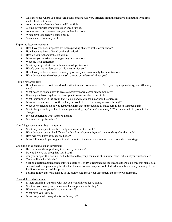- An experience where you discovered that someone was very different from the negative assumptions you first made about that person.
- An experience of feeling that you did not fit in.
- A time in your life when you experienced justice.
- An embarrassing moment that you can laugh at now.
- When have you been welcomed back?
- Share an adventure in your life.

#### Exploring issues or concerns:

- How have you been impacted by recent/pending changes at this organization?
- How have you been affected by this situation?
- How do you feel about this situation?
- What are you worried about regarding this situation?
- What are your concerns?
- What is your greatest fear in this relationship/situation?
- What's been the hardest part of this situation for you?
- How have you been affected mentally, physically and emotionally by this situation?
- What do you need the other person(s) to know or understand about you?

#### Taking responsibility:

- How have we each contributed to this situation, and how can each of us, by taking responsibility, act differently now?
- What needs to happen now to create a healthy workplace/family/community?
- Does anyone have anything to clear up with someone else in the circle?
- What is unspoken in the group that blocks good relationships or possible success?
- What are the unresolved conflicts that you would like to find a way to work through?
- What do we need to do now to repair the harm that happened and to make sure it doesn't happen again?
- What change would you like to see in your work group/family/community? What can you do to promote that change?
- In your experience what supports healing?
- Where do we go from here?

#### Clarifying expectations about the future:

- What do you expect to do differently as a result of this circle?
- What do you expect to be different (in this family/community/work relationship) after this circle?
- How will you know if things are better?
- What follow-up do you suggest to make sure that the understandings we have reached are working?

#### Checking on consensus on an agreement:

- Have you had the opportunity to express your views?
- Do you believe the group has heard you?
- Can you support this decision as the best one the group can make at this time, even if it is not your first choice?
- Can you live with this plan?
- Scaling question about agreement: On a scale of 0 to 10, 0 representing the idea that there is no way this plan could succeed and 10 representing the idea that there is no way this plan could fail, what number would you assign to the likelihood of success of this plan?
- Possible follow up: What change to the plan would move your assessment up one or two numbers?

#### Toward the end of a circle:

- Is there anything you came with that you would like to leave behind?
- What are you taking from this circle that supports your healing?
- Where do you see yourself moving forward?
- What have you learned?
- What can you take away that is useful to you?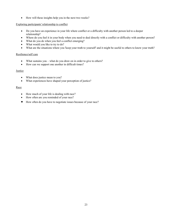• How will these insights help you in the next two weeks?

#### Exploring participants' relationship to conflict

- Do you have an experience in your life where conflict or a difficulty with another person led to a deeper relationship?
- Where do you feel it in your body when you need to deal directly with a conflict or difficulty with another person?
- What do you do when you feel a conflict emerging?
- What would you like to try to do?
- What are the situations where you 'keep your truth to yourself' and it might be useful to others to know your truth?

#### Resilience/self care

- What sustains you what do you draw on in order to give to others?
- How can we support one another in difficult times?

#### Justice

- What does justice mean to you?
- What experiences have shaped your perception of justice?

#### Race

- How much of your life is dealing with race?
- How often are you reminded of your race?
- How often do you have to negotiate issues because of your race?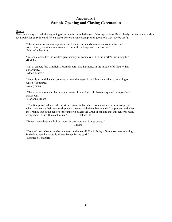## **Appendix 2 Sample Opening and Closing Ceremonies**

#### **Ouotes**

One simple way to mark the beginning of a circle is through the use of short quotations. Read clearly, quotes can provide a focal point for entry into a different space. Here are some examples of quotations that may be useful.

"The ultimate measure of a person is not where one stands in moments of comfort and convenience, but where one stands in times of challenge and controversy." -Martin Luther King

"In separateness lies the world's great misery; in compassion lies the world's true strength." -Buddha

-Out of clutter, find simplicity. From discord, find harmony. In the middle of difficulty, lies opportunity.

-Albert Einstein

"Anger is an acid that can do more harm to the vessel in which it stands than to anything on which it is poured." -Anonymous

"There never was a war that was not inward; I must fight till I have conquered in myself what causes war. "

-Marianne Moore

"The first peace, which is the most important, is that which comes within the souls of people when they realize their relationship, their oneness with the universe and all its powers, and when they realize that at the center of the universe dwells the Great Spirit, and that this center is really everywhere, it is within each of us." -Black Elk

"Better than a thousand hollow words is one word that brings peace. " -Buddha

"Do you know what astonished me most in the world? The inability of force to create anything. In the long run the sword is always beaten by the spirit." -Napoleon Bonaparte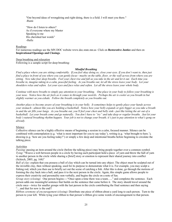"Out beyond ideas of wrongdoing and right-doing, there is a field. I will meet you there." -Rumi

"How do I listen to others? As if everyone where my Master Speaking to me His cherished last words" -Hafiz

#### Readings

For numerous readings see the MN DOC website www.doc.state.mn.us Click on **Restorative Justice** and then on **Inspirational Openings and Closings**.

Deep breathing and relaxation Following is a sample script for deep breathing:

#### *Mindful Breathing*

*Find a place where you are sitting comfortably. If you feel okay doing so, close your eyes. If you don't want to, then just find a place in front of you where you can gently focus—maybe on the table, floor, or the wall across from where you are sitting. Now take four deep breaths. Feel your chest rise and fall as you take in the air and let it out. Each time you breathe in, imagine taking in a calm, peaceful feeling. As you breathe out, let all the stress leave your body. Let your shoulders relax and soften. Let your eyes and face relax and soften. Let all the stress leave your whole body.*

*Continue with more breaths to simply pay attention to your breathing. One place in your body to follow your breathing is your nose. Notice how the air feels as it comes in through your nostrils. Perhaps the air is cooler as you breath in but slightly warmer as you exhale. Follow the breath completely as you breathe out.*

*Another place to become aware of your breathing is in your belly. It sometimes helps to gently place your hands across your stomach—almost like you are holding a basketball. Notice how your belly expands or gets bigger as you take a breath in and the air fills your lungs. As you breathe out, you'll feel your chest and belly sink—just like letting the air out of a basketball. Let your breath come and go naturally. You don't have to "try" and take deep or regular breaths. Just let your body's natural breathing rhythm happen. Your job is not to change your breath; it's just to pay attention to what's gong on already.*

#### Silence

Collective silence can be a highly effective means of beginning a session in a calm, focused manner. Silence can be combined with contemplation (e.g. 'what is most important for you to say today'), writing (e.g. 'what brought to here.'), drawing (e.g. 'how are you feeling today?') or simply a few deep and intentional breaths before beginning to circulate the talking piece.

#### **Activities**

*Passing*: passing an item around the circle (before the talking piece) may bring people together over a common symbol. *Tying*: "Weave a web between people in a circle by having each participant hold a piece of yarn and throw the ball of yarn to another person in the circle while sharing a [brief] story or emotion to represent their shared journey into conflict (Schirch, 2005, pg. 168)"

*Ball of clay*: explain that you possess a ball of clay which can be turned into any object. The object must be sculpted out of the invisible clay, then without speaking, used for its purpose to demonstrate what it is. For example, you may sculpt a fishing rod, which you then use to briefly act out the scene of catching a fish. After this is done, go through the motions of forming the clay back into a ball, and pass it to the next person in the circle. Again, this simple game allows people to express their creativity and personality non-verbally, and begins the circle on a note of fun.

*Group story (closing):* One person begins----"Once upon a time there was a team….." and completes the sentence. Each person adds one meaningful sentence that builds on the sentence that came before it. The story should travel around the circle once—twice for smaller groups with the last person in the circle contributing the final sentence and then saying "…and that for now is the end!!

*Ribbon ceremony of encouragement (closing)*: Distribute one piece of ribbon about a yard long to each person. Turn to the person to your left. While tying your ribbon to that person's ribbon give some words of encouragement to that person.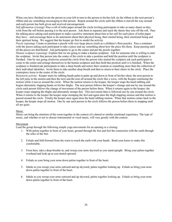When you have finished invite the person to your left to turn to the person to his/her left, tie the ribbon to the next person's ribbon and say something encouraging to that person. Repeat around the circle until the ribbon is tied all the way around and each person has both given and received encouragement.

*Self affirmation (closing)*: Pass a roll of toilet paper around the circle inviting participants to take as many sheets as they wish from the roll before passing it to the next person. Ask them to separate and stack the sheets they tore off the roll. Pass the talking piece asking each participant to make a positive statement about him or her self for each piece of toilet paper they have – and encourage them to do statements about their physical being, their mental being, their emotional being and their spiritual being. We suggest that the keeper go first to model the activity.

*Puzzle (opening)*: Create or purchase a puzzle with very large pieces (such as a children's floor puzzle). Pass a container with the pieces asking each participant to take a piece and say something about how the piece fits them. Keep passing until all the pieces are distributed. Ask participants to go to the center and put the puzzle together.

*Human sculpture (opening):* Explain that we are going to make a human sculpture. Ask for someone who is willing to start the sculpture. Invite that person into the center of the circle to take a position and hold the position until the sculpture is finished. One by one going clockwise around the circle from the person who started the sculpture ask each participant to come to the center and arrange themselves in the human sculpture and then hold that position until it is finished. When the sculpture is finished ask participants to take a deep breath and notice their creation as something more than the collection of their individual identities. Invite them to take another deep breath and then to return to their chairs in the circle. Place the centerpiece items in the center of the circle.

*Rainstorm activity*: Keeper starts by rubbing hands palm to palm up and down in front of his/her chest; the next person to the left joins in the motion and then the next and the next all around the circle like a wave, with the Keeper continuing the motion while it moves around the circle. When the motion returns to the keeper, the keeper stops the hand rubbing and begins alternately slapping hands on his/her thighs. The next person follows the keeper's change and one by one around the circle each person follows the change of movement of the person before them. When it returns again to the keeper, the keeper stops slapping the thighs and alternately stomps feet. This movement then is followed one by one around the circle. When it returns to the keeper the keeper stops stomping the feel and again does the thigh slapping motion and that motion is passed around the circle. Finally the keeper once again does the hand rubbing motion. When that motion comes back to the keeper, the keeper stops all motion. One by one each person in the circle follows the person before them in stopping until all are quiet.

#### Music

Music can bring the attention of the room together in the context of a shared or similar emotional experience. The type of music, and whether or not to choose instrumental or vocal music, will vary greatly with the context.

#### Movement

Lead the group through the following simple yoga movements for an opening or a closing:

- 1. With palms together in front of your heart, ground through the feet and feel the connection with the earth through the soles of the feet.
- 2. Exhale and fold forward from the waist to touch the earth with your hands. Bend your knees to make this comfortable.
- 3. From here, take a deep breathe in, and sweep your arms skyward as you stand upright. Bring your palms together overhead and look up as you stretch upward.
- 4. Exhale as your bring your arms down palms together in front of the heart.
- 5. Inhale as you sweep your arms outward and up skyward, palms together looking up. Exhale as bring your arms down palms together in front of the heart.
- 6. Inhale as you sweep your arms outward and up skyward, palms together looking up. Exhale as bring your arms down palms together in front of the heart.